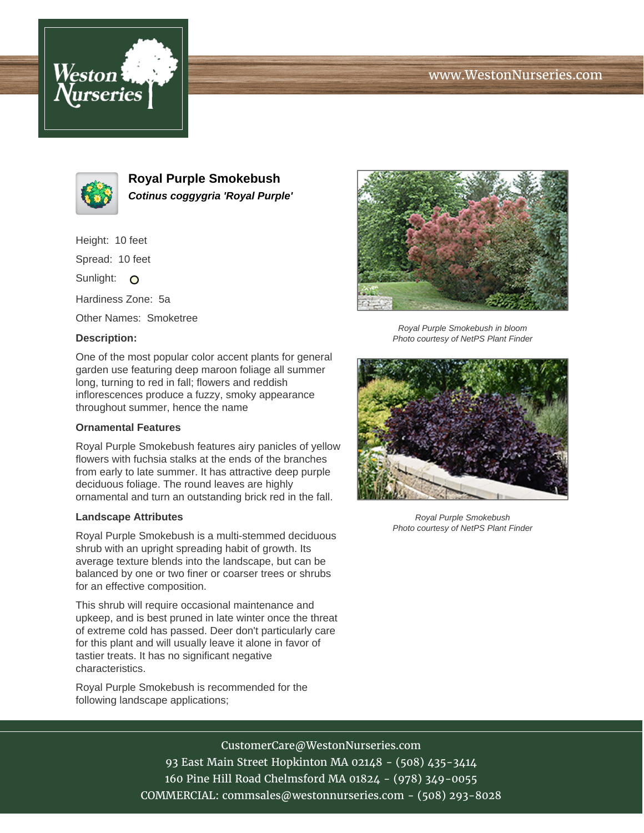# www.WestonNurseries.com





**Royal Purple Smokebush Cotinus coggygria 'Royal Purple'**

Height: 10 feet

Spread: 10 feet

Sunlight: O

Hardiness Zone: 5a

Other Names: Smoketree

# **Description:**

One of the most popular color accent plants for general garden use featuring deep maroon foliage all summer long, turning to red in fall; flowers and reddish inflorescences produce a fuzzy, smoky appearance throughout summer, hence the name

### **Ornamental Features**

Royal Purple Smokebush features airy panicles of yellow flowers with fuchsia stalks at the ends of the branches from early to late summer. It has attractive deep purple deciduous foliage. The round leaves are highly ornamental and turn an outstanding brick red in the fall.

#### **Landscape Attributes**

Royal Purple Smokebush is a multi-stemmed deciduous shrub with an upright spreading habit of growth. Its average texture blends into the landscape, but can be balanced by one or two finer or coarser trees or shrubs for an effective composition.

This shrub will require occasional maintenance and upkeep, and is best pruned in late winter once the threat of extreme cold has passed. Deer don't particularly care for this plant and will usually leave it alone in favor of tastier treats. It has no significant negative characteristics.

Royal Purple Smokebush is recommended for the following landscape applications;



Royal Purple Smokebush in bloom Photo courtesy of NetPS Plant Finder



Royal Purple Smokebush Photo courtesy of NetPS Plant Finder

CustomerCare@WestonNurseries.com

93 East Main Street Hopkinton MA 02148 - (508) 435-3414 160 Pine Hill Road Chelmsford MA 01824 - (978) 349-0055 COMMERCIAL: commsales@westonnurseries.com - (508) 293-8028